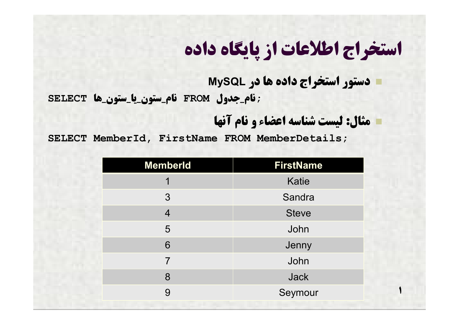**دستور استخراج داده ها در MySQL**

**;نام\_جدول FROM نام\_ستون\_یا\_ستون\_ها SELECT**

**مثال: لیست شناسه اعضاء و نام آنها**

**1**

**SELECT MemberId, FirstName FROM MemberDetails;**

| <b>MemberId</b> | <b>FirstName</b> |
|-----------------|------------------|
| 1               | <b>Katie</b>     |
| $\mathfrak{S}$  | Sandra           |
| $\overline{4}$  | <b>Steve</b>     |
| 5               | John             |
| 6               | Jenny            |
| $\overline{7}$  | John             |
| 8               | <b>Jack</b>      |
| 9               | Seymour          |
|                 |                  |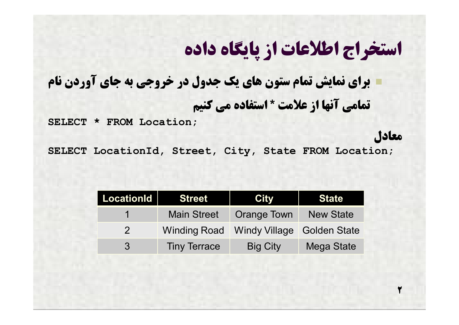### **براي نمایش تمام ستون هاي یک جدول در خروجی به جاي آوردن نام تمامی آنها از علامت \* استفاده می کنیم**

**SELECT \* FROM Location;**

**معادل**

**2**

**SELECT LocationId, Street, City, State FROM Location;**

| <b>LocationId</b> | <b>Street</b>       | <b>City</b>        | <b>State</b>      |
|-------------------|---------------------|--------------------|-------------------|
|                   | Main Street         | <b>Orange Town</b> | <b>New State</b>  |
| $\mathcal{P}$     |                     |                    |                   |
| 3                 | <b>Tiny Terrace</b> | <b>Big City</b>    | <b>Mega State</b> |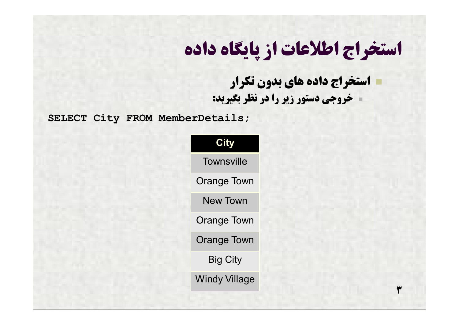**استخراج داده هاي بدون تکرار خروجی دستور زیر را در نظر بگیرید:**

**3**

**SELECT City FROM MemberDetails;**

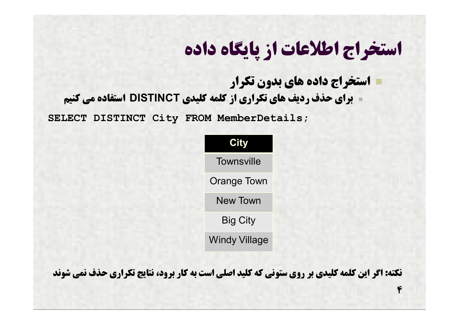**استخراج داده هاي بدون تکرار براي حذف ردیف هاي تکراري از کلمه کلیدي DISTINCT استفاده می کنیم**

**SELECT DISTINCT City FROM MemberDetails;**

| City                 |  |
|----------------------|--|
| <b>Townsville</b>    |  |
| <b>Orange Town</b>   |  |
| <b>New Town</b>      |  |
| <b>Big City</b>      |  |
| <b>Windy Village</b> |  |

**نکته: اگر این کلمه کلیدي بر روي ستونی که کلید اصلی است به کار برود، نتایج تکراري حذف نمی شوند**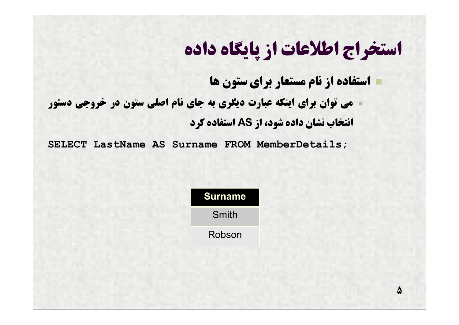**استفاده از نام مستعار براي ستون ها**

<u>Δ</u>

 **می توان براي اینکه عبارت دیگري به جاي نام اصلی ستون در خروجی دستور انتخاب نشان داده شود، از AS استفاده کرد**

**SELECT LastName AS Surname FROM MemberDetails;**

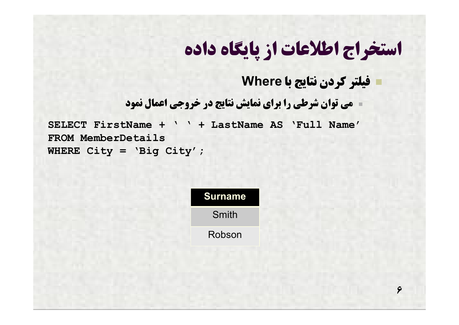#### **فیلتر کردن نتایج با Where**

**6**

**می توان شرطی را براي نمایش نتایج در خروجی اعمال نمود**

**SELECT FirstName + ' ' + LastName AS 'Full Name' FROM MemberDetails WHERE City = 'Big City';**

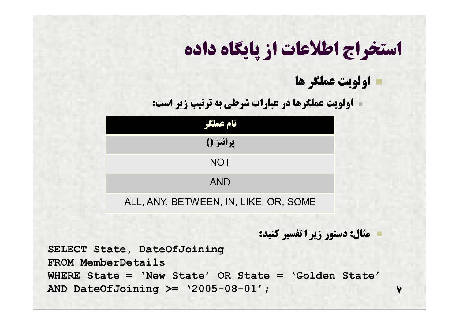**اولویت عملگر ها**

**اولویت عملگرها در عبارات شرطی به ترتیب زیر است:**

| نام عملگر                             |  |  |  |
|---------------------------------------|--|--|--|
| پرانتز ()                             |  |  |  |
| <b>NOT</b>                            |  |  |  |
| <b>AND</b>                            |  |  |  |
| ALL, ANY, BETWEEN, IN, LIKE, OR, SOME |  |  |  |

**مثال: دستور زیر ا تفسیر کنید:**

**7**

**SELECT State, DateOfJoining FROM MemberDetails WHERE State = 'New State' OR State = 'Golden State' AND DateOfJoining >= '2005-08-01';**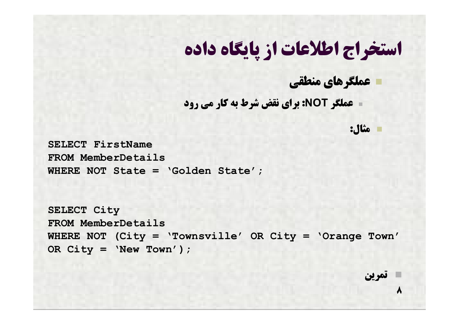**عملگرهاي منطقی**

**عملگر NOT: براي نقض شرط به کار می رود**

**مثال:**

**SELECT FirstName FROM MemberDetails WHERE NOT State = 'Golden State';**

```
SELECT City
FROM MemberDetails
WHERE NOT (City = 'Townsville' OR City = 'Orange Town' 
OR City = 'New Town');
```
**تمرین**

**8**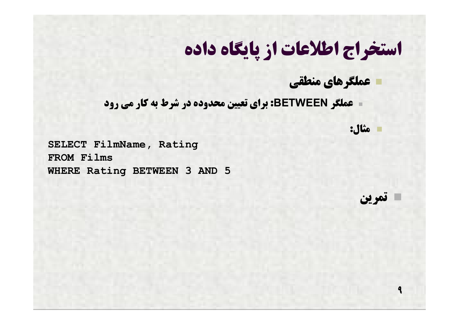**عملگرهاي منطقی**

**عملگر BETWEEN: براي تعیین محدوده در شرط به کار می رود**

**مثال:**

**تمرین**

**9**

**SELECT FilmName, Rating FROM Films WHERE Rating BETWEEN 3 AND 5**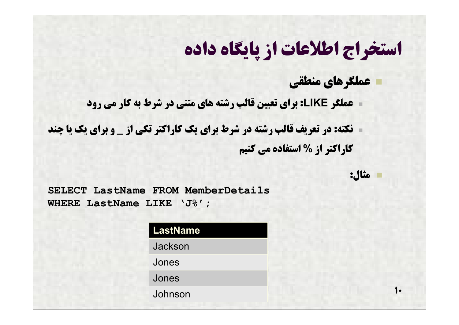#### **عملگرهاي منطقی**

**عملگر LIKE: براي تعیین قالب رشته هاي متنی در شرط به کار می رود**

 **نکته: در تعریف قالب رشته در شرط براي یک کاراکتر تکی از \_ و براي یک یا چند کاراکتر از % استفاده می کنیم**

**مثال:**

 $\bullet$ 

**SELECT LastName FROM MemberDetails WHERE LastName LIKE 'J%';**

| <b>LastName</b> |  |
|-----------------|--|
| Jackson         |  |
| Jones           |  |
| Jones           |  |
| Johnson         |  |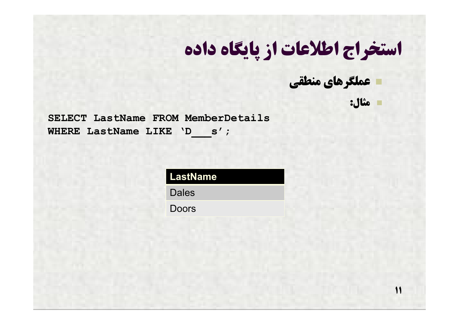**عملگرهاي منطقی**

**مثال:**

**11**

**SELECT LastName FROM MemberDetails** WHERE LastName LIKE 'D s';

**LastName**

**Dales** 

Doors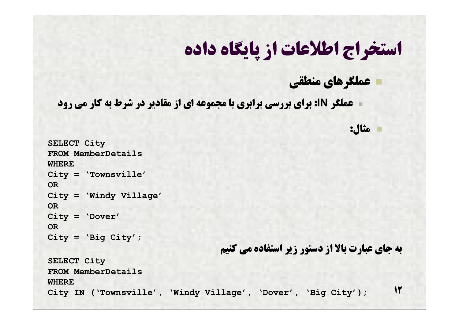#### **عملگرهاي منطقی**

**مثال:**

**عملگر IN: براي بررسی برابري با مجموعه اي از مقادیر در شرط به کار می رود**

```
12
SELECT City
FROM MemberDetails
WHERE
City = 'Townsville'
OR
City = 'Windy Village'
OR
City = 'Dover'
OR
City = 'Big City';
                                    به جاي عبارت بالا از دستور زیر استفاده می کنیم
SELECT City
FROM MemberDetails
WHERE
City IN ('Townsville'
, 
'Windy Village'
, 
'Dover'
, 
'Big City');
```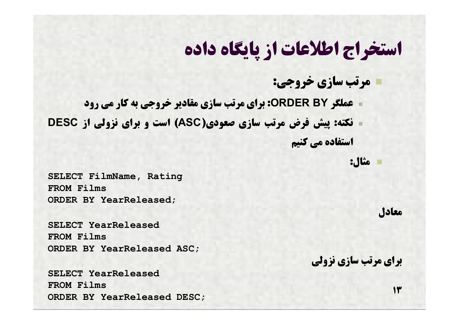**مرتب سازي خروجی:**

 **عملگر BY ORDER: براي مرتب سازي مقادیر خروجی به کار می رود نکته: پیش فرض مرتب سازي صعودي(ASC (است و براي نزولی از DESC استفاده می کنیم**

**مثال:**

**SELECT FilmName, Rating FROM Films ORDER BY YearReleased;**

**SELECT YearReleased FROM Films ORDER BY YearReleased ASC;**

**SELECT YearReleased FROM Films ORDER BY YearReleased DESC;**

**معادل**

**براي مرتب سازي نزولی**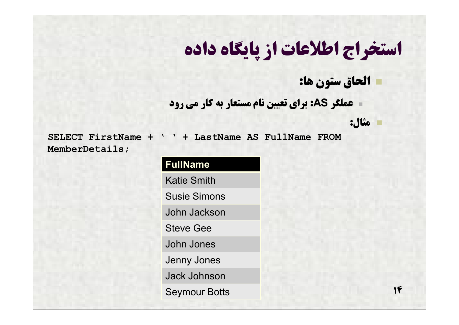**الحاق ستون ها:**

**عملگر AS: براي تعیین نام مستعار به کار می رود**

**مثال:**

**SELECT FirstName + ' ' + LastName AS FullName FROM MemberDetails;**

> **FullName** Katie Smith Susie Simons John Jackson Steve Gee John Jones Jenny Jones Jack Johnson Seymour Botts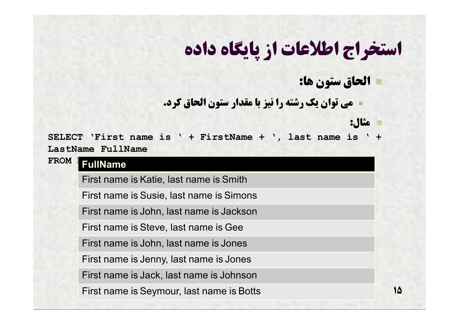**الحاق ستون ها:**

**مثال:**

**15**

**می توان یک رشته را نیز با مقدار ستون الحاق کرد.**

**SELECT 'First name is ' + FirstName + ', last name is ' + LastName FullName**

**FROM FullName** 

First name is Katie, last name is Smith

First name is Susie, last name is Simons

First name is John, last name is Jackson

First name is Steve, last name is Gee

First name is John, last name is Jones

First name is Jenny, last name is Jones

First name is Jack, last name is Johnson

First name is Seymour, last name is Botts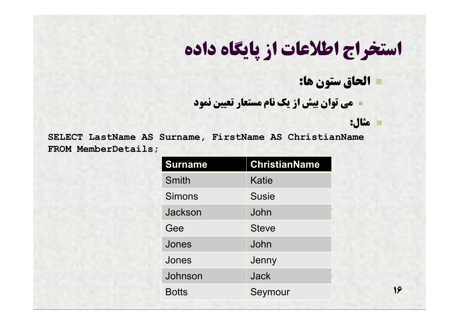**الحاق ستون ها:**

**مثال:**

**16**

**می توان بیش از یک نام مستعار تعیین نمود**

**SELECT LastName AS Surname, FirstName AS ChristianName FROM MemberDetails;**

| <b>ChristianName</b> |  |
|----------------------|--|
| Katie                |  |
| <b>Susie</b>         |  |
| John                 |  |
| <b>Steve</b>         |  |
| John                 |  |
| Jenny                |  |
| Jack                 |  |
| Seymour              |  |
|                      |  |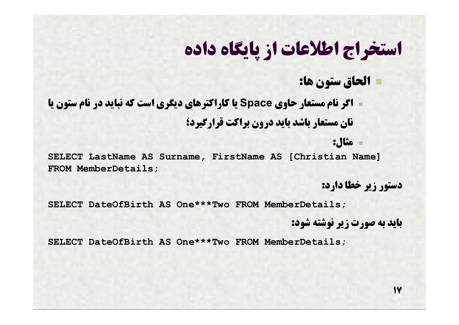**الحاق ستون ها:**

 **اگر نام مستعار حاوي Space یا کاراکترهاي دیگري است که نباید در نام ستون یا نان مستعار باشد باید درون براکت قرارگیرد؛**

**مثال:**

**SELECT LastName AS Surname, FirstName AS [Christian Name] FROM MemberDetails;**

**دستور زیر خطا دارد:**

**SELECT DateOfBirth AS One\*\*\*Two FROM MemberDetails;**

**باید به صورت زیر نوشته شود:**

**SELECT DateOfBirth AS One\*\*\*Two FROM MemberDetails;**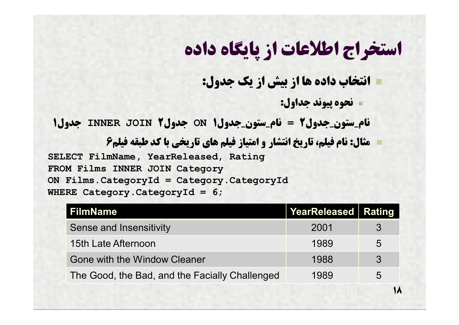**انتخاب داده ها از بیش از یک جدول:**

**نحوه پیوند جداول:**

**18**

**نام\_ستون\_جدول2 = نام\_ستون\_جدول1 ON جدول2 JOIN INNER جدول1**

 **مثال: نام فیلم، تاریخ انتشار و امتیاز فیلم هاي تاریخی با کد طبقه فیلم6 SELECT FilmName, YearReleased, Rating FROM Films INNER JOIN Category ON Films.CategoryId = Category.CategoryId WHERE Category.CategoryId = 6;**

| <b>FilmName</b>                                | YearReleased   Rating |              |
|------------------------------------------------|-----------------------|--------------|
| <b>Sense and Insensitivity</b>                 | 2001                  | 3            |
| 15th Late Afternoon                            | 1989                  | 5            |
| <b>Gone with the Window Cleaner</b>            | 1988                  | $\mathbf{3}$ |
| The Good, the Bad, and the Facially Challenged | 1989                  | 5            |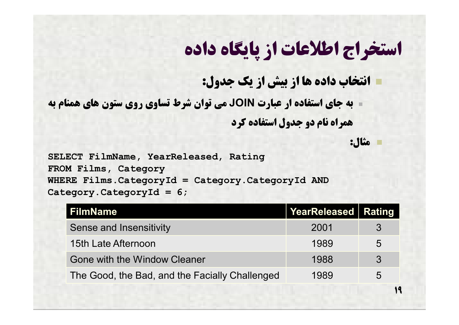**انتخاب داده ها از بیش از یک جدول:**

 **به جاي استفاده ار عبارت JOIN می توان شرط تساوي روي ستون هاي همنام به همراه نام دو جدول استفاده کرد**

**مثال:**

**19**

**SELECT FilmName, YearReleased, Rating FROM Films, Category WHERE Films.CategoryId = Category.CategoryId AND Category.CategoryId = 6;**

| FilmName                                       | <b>YearReleased Rating</b> |                |
|------------------------------------------------|----------------------------|----------------|
| <b>Sense and Insensitivity</b>                 | 2001                       | $\mathbf{3}$   |
| 15th Late Afternoon                            | 1989                       | $\sqrt{5}$     |
| Gone with the Window Cleaner                   | 1988                       | $\mathcal{S}$  |
| The Good, the Bad, and the Facially Challenged | 1989                       | $\overline{5}$ |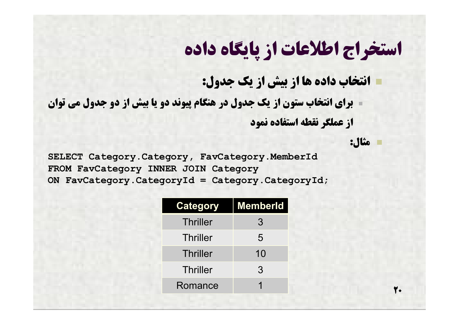**انتخاب داده ها از بیش از یک جدول:**

 **براي انتخاب ستون از یک جدول در هنگام پیوند دو یا بیش از دو جدول می توان از عملگر نقطه استفاده نمود**

**مثال:**

**20**

**SELECT Category.Category, FavCategory.MemberId FROM FavCategory INNER JOIN Category ON FavCategory.CategoryId = Category.CategoryId;**

| Category        | <b>MemberId</b> |
|-----------------|-----------------|
| <b>Thriller</b> | 3               |
| <b>Thriller</b> | 5               |
| <b>Thriller</b> | 10              |
| <b>Thriller</b> | 3               |
| Romance         |                 |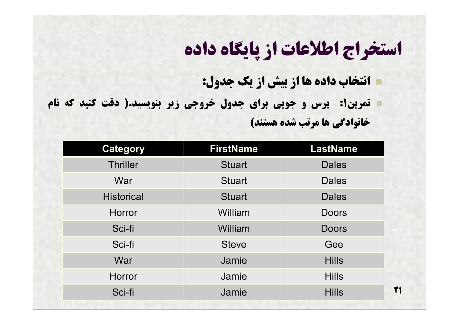**انتخاب داده ها از بیش از یک جدول:**

 **تمرین:1 پرس و جویی براي جدول خروجی زیر بنویسید.( دقت کنید که نام خانوادگی ها مرتب شده هستند)**

| <b>Category</b>   | <b>FirstName</b> | <b>LastName</b> |
|-------------------|------------------|-----------------|
| <b>Thriller</b>   | <b>Stuart</b>    | <b>Dales</b>    |
| War               | <b>Stuart</b>    | <b>Dales</b>    |
| <b>Historical</b> | <b>Stuart</b>    | <b>Dales</b>    |
| <b>Horror</b>     | William          | <b>Doors</b>    |
| Sci-fi            | William          | <b>Doors</b>    |
| Sci-fi            | <b>Steve</b>     | Gee             |
| War               | Jamie            | <b>Hills</b>    |
| <b>Horror</b>     | Jamie            | <b>Hills</b>    |
| Sci-fi            | Jamie            | <b>Hills</b>    |
|                   |                  |                 |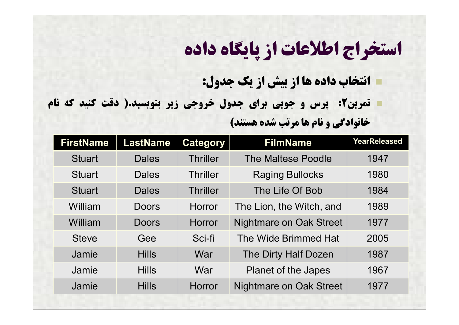**انتخاب داده ها از بیش از یک جدول:**

 **تمرین:2 پرس و جویی براي جدول خروجی زیر بنویسید.( دقت کنید که نام خانوادگی و نام ها مرتب شده هستند)**

| <b>FirstName</b> | <b>LastName</b> | <b>Category</b> | <b>FilmName</b>                | <b>YearReleased</b> |
|------------------|-----------------|-----------------|--------------------------------|---------------------|
| <b>Stuart</b>    | <b>Dales</b>    | <b>Thriller</b> | The Maltese Poodle             | 1947                |
| <b>Stuart</b>    | <b>Dales</b>    | <b>Thriller</b> | <b>Raging Bullocks</b>         | 1980                |
| <b>Stuart</b>    | <b>Dales</b>    | <b>Thriller</b> | The Life Of Bob                | 1984                |
| William          | Doors           | <b>Horror</b>   | The Lion, the Witch, and       | 1989                |
| William          | Doors           | <b>Horror</b>   | Nightmare on Oak Street        | 1977                |
| <b>Steve</b>     | Gee             | Sci-fi          | The Wide Brimmed Hat           | 2005                |
| Jamie            | <b>Hills</b>    | War             | The Dirty Half Dozen           | 1987                |
| Jamie            | <b>Hills</b>    | War             | <b>Planet of the Japes</b>     | 1967                |
| Jamie            | <b>Hills</b>    | <b>Horror</b>   | <b>Nightmare on Oak Street</b> | 1977                |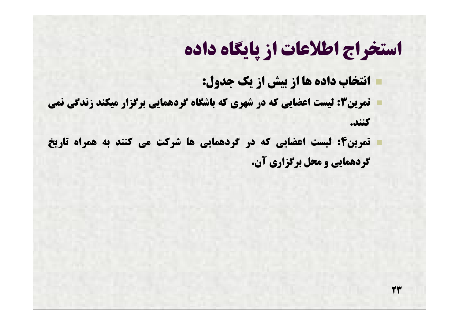**23**

**انتخاب داده ها از بیش از یک جدول:**

 **تمرین:3 لیست اعضایی که در شهري که باشگاه گردهمایی برگزار میکند زندگی نمی کنند.**

 **تمرین:4 لیست اعضایی که در گردهمایی ها شرکت می کنند به همراه تاریخ گردهمایی و محل برگزاري آن.**